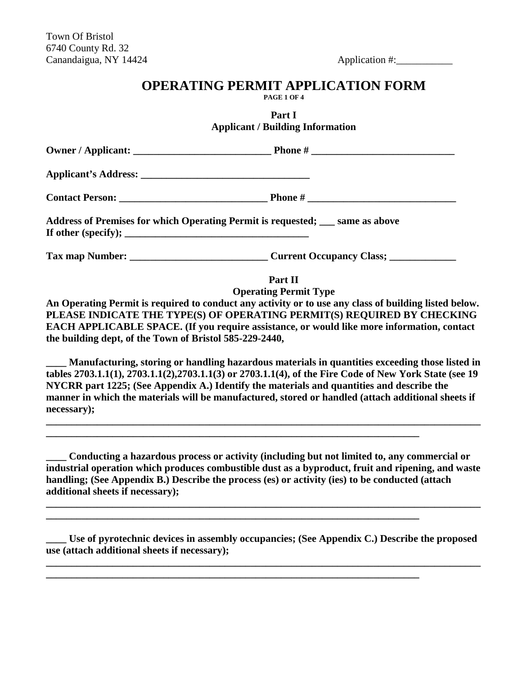### **OPERATING PERMIT APPLICATION FORM**

**PAGE 1 OF 4**

**Part I Applicant / Building Information**

| Address of Premises for which Operating Permit is requested; __ same as above |  |
|-------------------------------------------------------------------------------|--|
|                                                                               |  |

**Part II Operating Permit Type**

**An Operating Permit is required to conduct any activity or to use any class of building listed below. PLEASE INDICATE THE TYPE(S) OF OPERATING PERMIT(S) REQUIRED BY CHECKING EACH APPLICABLE SPACE. (If you require assistance, or would like more information, contact the building dept, of the Town of Bristol 585-229-2440,**

**\_\_\_\_ Manufacturing, storing or handling hazardous materials in quantities exceeding those listed in tables 2703.1.1(1), 2703.1.1(2),2703.1.1(3) or 2703.1.1(4), of the Fire Code of New York State (see 19 NYCRR part 1225; (See Appendix A.) Identify the materials and quantities and describe the manner in which the materials will be manufactured, stored or handled (attach additional sheets if necessary);**

**\_\_\_\_\_\_\_\_\_\_\_\_\_\_\_\_\_\_\_\_\_\_\_\_\_\_\_\_\_\_\_\_\_\_\_\_\_\_\_\_\_\_\_\_\_\_\_\_\_\_\_\_\_\_\_\_\_\_\_\_\_\_\_\_\_\_\_\_\_\_\_\_\_\_\_\_\_\_\_\_\_\_\_\_\_**

**\_\_\_\_\_\_\_\_\_\_\_\_\_\_\_\_\_\_\_\_\_\_\_\_\_\_\_\_\_\_\_\_\_\_\_\_\_\_\_\_\_\_\_\_\_\_\_\_\_\_\_\_\_\_\_\_\_\_\_\_\_\_\_\_\_\_\_\_\_\_\_\_\_**

**\_\_\_\_\_\_\_\_\_\_\_\_\_\_\_\_\_\_\_\_\_\_\_\_\_\_\_\_\_\_\_\_\_\_\_\_\_\_\_\_\_\_\_\_\_\_\_\_\_\_\_\_\_\_\_\_\_\_\_\_\_\_\_\_\_\_\_\_\_\_\_\_\_** 

**\_\_\_\_\_\_\_\_\_\_\_\_\_\_\_\_\_\_\_\_\_\_\_\_\_\_\_\_\_\_\_\_\_\_\_\_\_\_\_\_\_\_\_\_\_\_\_\_\_\_\_\_\_\_\_\_\_\_\_\_\_\_\_\_\_\_\_\_\_\_\_\_\_**

**\_\_\_\_ Conducting a hazardous process or activity (including but not limited to, any commercial or industrial operation which produces combustible dust as a byproduct, fruit and ripening, and waste handling; (See Appendix B.) Describe the process (es) or activity (ies) to be conducted (attach additional sheets if necessary);**

**\_\_\_\_\_\_\_\_\_\_\_\_\_\_\_\_\_\_\_\_\_\_\_\_\_\_\_\_\_\_\_\_\_\_\_\_\_\_\_\_\_\_\_\_\_\_\_\_\_\_\_\_\_\_\_\_\_\_\_\_\_\_\_\_\_\_\_\_\_\_\_\_\_\_\_\_\_\_\_\_\_\_\_\_\_**

**\_\_\_\_ Use of pyrotechnic devices in assembly occupancies; (See Appendix C.) Describe the proposed use (attach additional sheets if necessary);** 

**\_\_\_\_\_\_\_\_\_\_\_\_\_\_\_\_\_\_\_\_\_\_\_\_\_\_\_\_\_\_\_\_\_\_\_\_\_\_\_\_\_\_\_\_\_\_\_\_\_\_\_\_\_\_\_\_\_\_\_\_\_\_\_\_\_\_\_\_\_\_\_\_\_\_\_\_\_\_\_\_\_\_\_\_\_**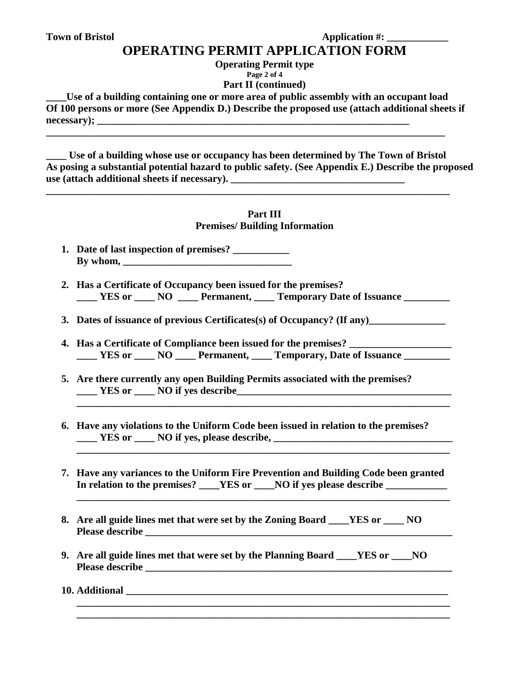## **OPERATING PERMIT APPLICATION FORM**

**Operating Permit type**

**Page 2 of 4**

**Part II (continued)**

Use of a building containing one or more area of public assembly with an occupant load **Of 100 persons or more (See Appendix D.) Describe the proposed use (attach additional sheets if necessary); \_\_\_\_\_\_\_\_\_\_\_\_\_\_\_\_\_\_\_\_\_\_\_\_\_\_\_\_\_\_\_\_\_\_\_\_\_\_\_\_\_\_\_\_\_\_\_\_\_\_\_\_\_\_\_\_\_\_\_\_\_**

**\_\_\_\_\_\_\_\_\_\_\_\_\_\_\_\_\_\_\_\_\_\_\_\_\_\_\_\_\_\_\_\_\_\_\_\_\_\_\_\_\_\_\_\_\_\_\_\_\_\_\_\_\_\_\_\_\_\_\_\_\_\_\_\_\_\_\_\_\_\_\_\_\_\_\_\_\_\_**

**\_\_\_\_\_\_\_\_\_\_\_\_\_\_\_\_\_\_\_\_\_\_\_\_\_\_\_\_\_\_\_\_\_\_\_\_\_\_\_\_\_\_\_\_\_\_\_\_\_\_\_\_\_\_\_\_\_\_\_\_\_\_\_\_\_\_\_\_\_\_\_\_\_\_\_\_\_\_\_**

**\_\_\_\_ Use of a building whose use or occupancy has been determined by The Town of Bristol As posing a substantial potential hazard to public safety. (See Appendix E.) Describe the proposed use (attach additional sheets if necessary).** 

#### **Part III Premises/ Building Information**

- **1. Date of last inspection of premises? \_\_\_\_\_\_\_\_\_\_\_ By whom, \_\_\_\_\_\_\_\_\_\_\_\_\_\_\_\_\_\_\_\_\_\_\_\_\_\_\_\_\_\_\_\_\_**
- **2. Has a Certificate of Occupancy been issued for the premises? \_\_\_\_ YES or \_\_\_\_ NO \_\_\_\_ Permanent, \_\_\_\_ Temporary Date of Issuance \_\_\_\_\_\_\_\_\_**
- **3.** Dates of issuance of previous Certificates(s) of Occupancy? (If any)

 **\_\_\_\_\_\_\_\_\_\_\_\_\_\_\_\_\_\_\_\_\_\_\_\_\_\_\_\_\_\_\_\_\_\_\_\_\_\_\_\_\_\_\_\_\_\_\_\_\_\_\_\_\_\_\_\_\_\_\_\_\_\_\_\_\_\_\_\_\_\_\_\_\_**

- **4. Has a Certificate of Compliance been issued for the premises? \_\_\_\_\_\_\_\_\_\_\_\_\_\_\_\_\_\_\_\_ \_\_\_\_ YES or \_\_\_\_ NO \_\_\_\_ Permanent, \_\_\_\_ Temporary, Date of Issuance \_\_\_\_\_\_\_\_\_**
- **5. Are there currently any open Building Permits associated with the premises? \_\_\_\_ YES or \_\_\_\_ NO if yes describe\_\_\_\_\_\_\_\_\_\_\_\_\_\_\_\_\_\_\_\_\_\_\_\_\_\_\_\_\_\_\_\_\_\_\_\_\_\_\_\_\_\_**
- **6. Have any violations to the Uniform Code been issued in relation to the premises? YES or**  NO if yes, please describe,
- **7. Have any variances to the Uniform Fire Prevention and Building Code been granted**  In relation to the premises? \_\_\_\_YES or \_\_\_NO if yes please describe \_\_\_\_\_\_\_\_\_\_\_

**\_\_\_\_\_\_\_\_\_\_\_\_\_\_\_\_\_\_\_\_\_\_\_\_\_\_\_\_\_\_\_\_\_\_\_\_\_\_\_\_\_\_\_\_\_\_\_\_\_\_\_\_\_\_\_\_\_\_\_\_\_\_\_\_\_\_\_\_\_\_\_\_\_**

**\_\_\_\_\_\_\_\_\_\_\_\_\_\_\_\_\_\_\_\_\_\_\_\_\_\_\_\_\_\_\_\_\_\_\_\_\_\_\_\_\_\_\_\_\_\_\_\_\_\_\_\_\_\_\_\_\_\_\_\_\_\_\_\_\_\_\_\_\_\_\_\_\_ \_\_\_\_\_\_\_\_\_\_\_\_\_\_\_\_\_\_\_\_\_\_\_\_\_\_\_\_\_\_\_\_\_\_\_\_\_\_\_\_\_\_\_\_\_\_\_\_\_\_\_\_\_\_\_\_\_\_\_\_\_\_\_\_\_\_\_\_\_\_\_\_\_**

- **8. Are all guide lines met that were set by the Zoning Board \_\_\_\_YES or \_\_\_\_ NO Please describe \_\_\_\_\_\_\_\_\_\_\_\_\_\_\_\_\_\_\_\_\_\_\_\_\_\_\_\_\_\_\_\_\_\_\_\_\_\_\_\_\_\_\_\_\_\_\_\_\_\_\_\_\_\_\_\_\_\_\_\_**
- **9. Are all guide lines met that were set by the Planning Board \_\_\_\_YES or \_\_\_\_NO Please describe**

**10.** Additional **10.** Additional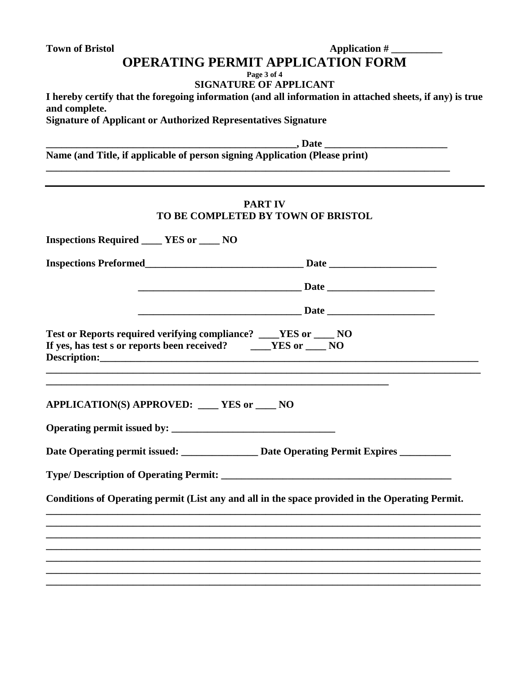#### Town of Bristol **Application # OPERATING PERMIT APPLICATION FORM**

**Page 3 of 4**

**SIGNATURE OF APPLICANT**

**I hereby certify that the foregoing information (and all information in attached sheets, if any) is true and complete.**

**\_\_\_\_\_\_\_\_\_\_\_\_\_\_\_\_\_\_\_\_\_\_\_\_\_\_\_\_\_\_\_\_\_\_\_\_\_\_\_\_\_\_\_\_\_\_\_\_\_\_\_\_\_\_\_\_\_\_\_\_\_\_\_\_\_\_\_\_\_\_\_\_\_\_\_\_\_\_\_**

**Signature of Applicant or Authorized Representatives Signature**

**\_\_\_\_\_\_\_\_\_\_\_\_\_\_\_\_\_\_\_\_\_\_\_\_\_\_\_\_\_\_\_\_\_\_\_\_\_\_\_\_\_\_\_\_\_\_\_\_\_, Date \_\_\_\_\_\_\_\_\_\_\_\_\_\_\_\_\_\_\_\_\_\_\_\_**

**Name (and Title, if applicable of person signing Application (Please print)**

|                                                                                                                                        | <b>PART IV</b>                                                                                                                                                                                                                 |
|----------------------------------------------------------------------------------------------------------------------------------------|--------------------------------------------------------------------------------------------------------------------------------------------------------------------------------------------------------------------------------|
|                                                                                                                                        | TO BE COMPLETED BY TOWN OF BRISTOL                                                                                                                                                                                             |
| <b>Inspections Required ____ YES or ___ NO</b>                                                                                         |                                                                                                                                                                                                                                |
|                                                                                                                                        |                                                                                                                                                                                                                                |
|                                                                                                                                        |                                                                                                                                                                                                                                |
|                                                                                                                                        |                                                                                                                                                                                                                                |
| Test or Reports required verifying compliance? ___YES or ___ NO<br>If yes, has test s or reports been received? ______ YES or _____ NO | Description: New York 1988 and 2008 and 2008 and 2008 and 2008 and 2008 and 2008 and 2008 and 2008 and 2008 and 2008 and 2008 and 2008 and 2008 and 2008 and 2008 and 2008 and 2008 and 2008 and 2008 and 2008 and 2008 and 20 |
| APPLICATION(S) APPROVED: ___ YES or ___ NO                                                                                             |                                                                                                                                                                                                                                |
|                                                                                                                                        |                                                                                                                                                                                                                                |
|                                                                                                                                        |                                                                                                                                                                                                                                |
|                                                                                                                                        | Conditions of Operating permit (List any and all in the space provided in the Operating Permit.                                                                                                                                |
|                                                                                                                                        |                                                                                                                                                                                                                                |
|                                                                                                                                        |                                                                                                                                                                                                                                |
|                                                                                                                                        |                                                                                                                                                                                                                                |
|                                                                                                                                        |                                                                                                                                                                                                                                |